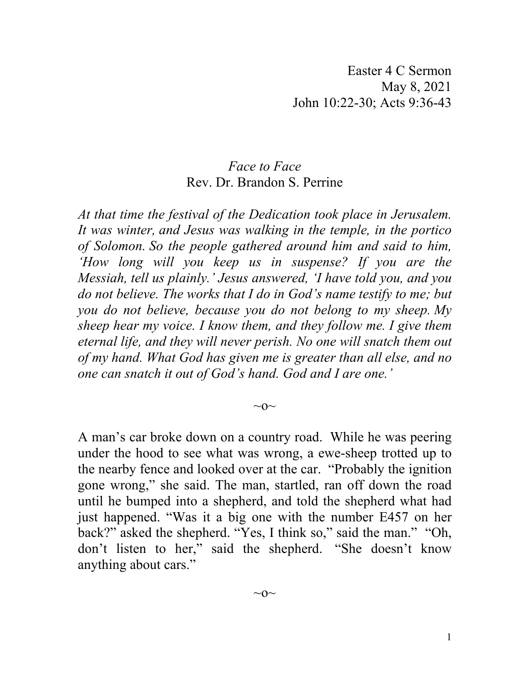## *Face to Face* Rev. Dr. Brandon S. Perrine

*At that time the festival of the Dedication took place in Jerusalem. It was winter, and Jesus was walking in the temple, in the portico of Solomon. So the people gathered around him and said to him, 'How long will you keep us in suspense? If you are the Messiah, tell us plainly.' Jesus answered, 'I have told you, and you do not believe. The works that I do in God's name testify to me; but you do not believe, because you do not belong to my sheep. My sheep hear my voice. I know them, and they follow me. I give them eternal life, and they will never perish. No one will snatch them out of my hand. What God has given me is greater than all else, and no one can snatch it out of God's hand. God and I are one.'*

 $\sim$ O $\sim$ 

A man's car broke down on a country road. While he was peering under the hood to see what was wrong, a ewe-sheep trotted up to the nearby fence and looked over at the car. "Probably the ignition gone wrong," she said. The man, startled, ran off down the road until he bumped into a shepherd, and told the shepherd what had just happened. "Was it a big one with the number E457 on her back?" asked the shepherd. "Yes, I think so," said the man." "Oh, don't listen to her," said the shepherd. "She doesn't know anything about cars."

 $\sim$ O $\sim$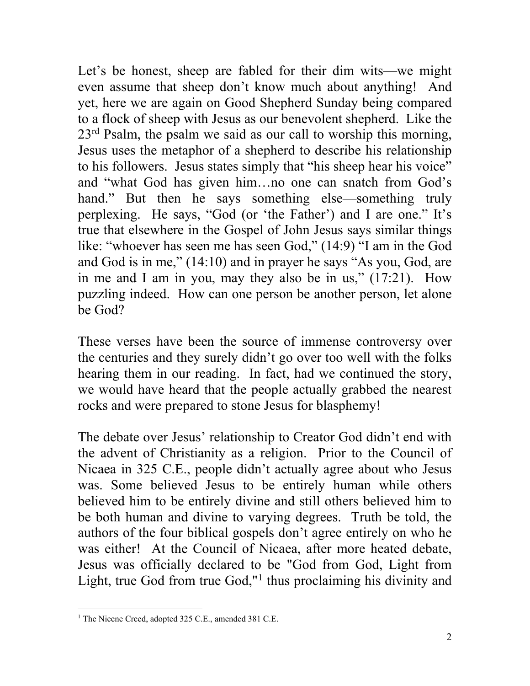Let's be honest, sheep are fabled for their dim wits—we might even assume that sheep don't know much about anything! And yet, here we are again on Good Shepherd Sunday being compared to a flock of sheep with Jesus as our benevolent shepherd. Like the  $23<sup>rd</sup>$  Psalm, the psalm we said as our call to worship this morning, Jesus uses the metaphor of a shepherd to describe his relationship to his followers. Jesus states simply that "his sheep hear his voice" and "what God has given him…no one can snatch from God's hand." But then he says something else—something truly perplexing. He says, "God (or 'the Father') and I are one." It's true that elsewhere in the Gospel of John Jesus says similar things like: "whoever has seen me has seen God," (14:9) "I am in the God and God is in me," (14:10) and in prayer he says "As you, God, are in me and I am in you, may they also be in us," (17:21). How puzzling indeed. How can one person be another person, let alone be God?

These verses have been the source of immense controversy over the centuries and they surely didn't go over too well with the folks hearing them in our reading. In fact, had we continued the story, we would have heard that the people actually grabbed the nearest rocks and were prepared to stone Jesus for blasphemy!

The debate over Jesus' relationship to Creator God didn't end with the advent of Christianity as a religion. Prior to the Council of Nicaea in 325 C.E., people didn't actually agree about who Jesus was. Some believed Jesus to be entirely human while others believed him to be entirely divine and still others believed him to be both human and divine to varying degrees. Truth be told, the authors of the four biblical gospels don't agree entirely on who he was either! At the Council of Nicaea, after more heated debate, Jesus was officially declared to be "God from God, Light from Light, true God from true God," $\frac{1}{1}$  $\frac{1}{1}$  $\frac{1}{1}$  thus proclaiming his divinity and

<span id="page-1-0"></span><sup>&</sup>lt;sup>1</sup> The Nicene Creed, adopted 325 C.E., amended 381 C.E.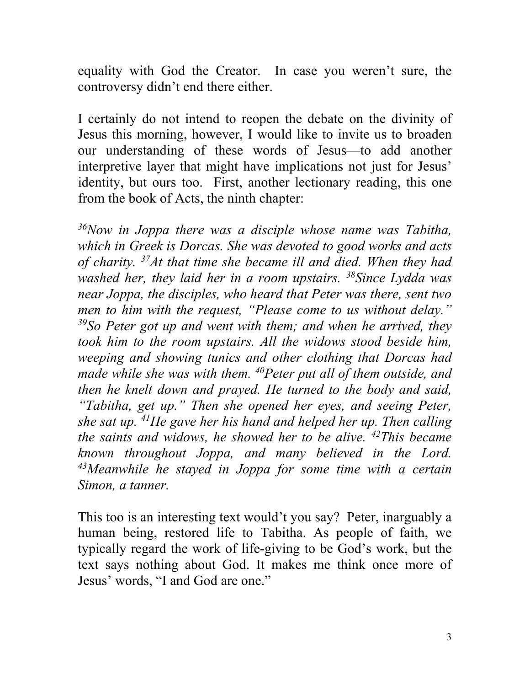equality with God the Creator. In case you weren't sure, the controversy didn't end there either.

I certainly do not intend to reopen the debate on the divinity of Jesus this morning, however, I would like to invite us to broaden our understanding of these words of Jesus—to add another interpretive layer that might have implications not just for Jesus' identity, but ours too. First, another lectionary reading, this one from the book of Acts, the ninth chapter:

*36Now in Joppa there was a disciple whose name was Tabitha, which in Greek is Dorcas. She was devoted to good works and acts of charity. 37At that time she became ill and died. When they had washed her, they laid her in a room upstairs. 38Since Lydda was near Joppa, the disciples, who heard that Peter was there, sent two men to him with the request, "Please come to us without delay." 39So Peter got up and went with them; and when he arrived, they took him to the room upstairs. All the widows stood beside him, weeping and showing tunics and other clothing that Dorcas had made while she was with them. 40Peter put all of them outside, and then he knelt down and prayed. He turned to the body and said, "Tabitha, get up." Then she opened her eyes, and seeing Peter, she sat up. 41He gave her his hand and helped her up. Then calling the saints and widows, he showed her to be alive. 42This became known throughout Joppa, and many believed in the Lord. 43Meanwhile he stayed in Joppa for some time with a certain Simon, a tanner.*

This too is an interesting text would't you say? Peter, inarguably a human being, restored life to Tabitha. As people of faith, we typically regard the work of life-giving to be God's work, but the text says nothing about God. It makes me think once more of Jesus' words, "I and God are one."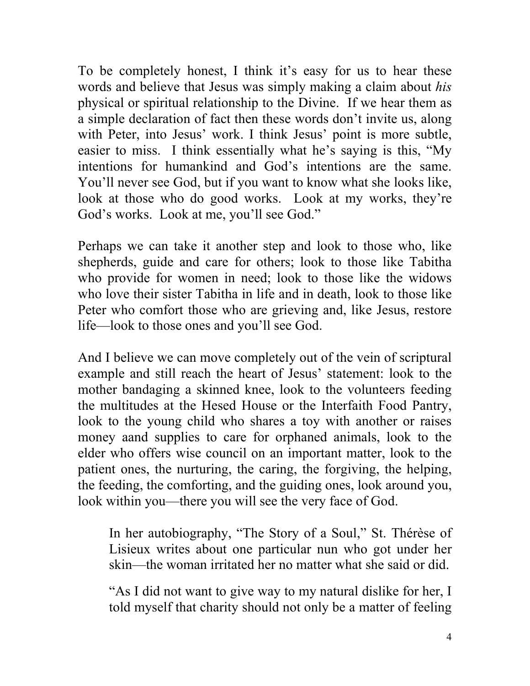To be completely honest, I think it's easy for us to hear these words and believe that Jesus was simply making a claim about *his* physical or spiritual relationship to the Divine. If we hear them as a simple declaration of fact then these words don't invite us, along with Peter, into Jesus' work. I think Jesus' point is more subtle, easier to miss. I think essentially what he's saying is this, "My intentions for humankind and God's intentions are the same. You'll never see God, but if you want to know what she looks like, look at those who do good works. Look at my works, they're God's works. Look at me, you'll see God."

Perhaps we can take it another step and look to those who, like shepherds, guide and care for others; look to those like Tabitha who provide for women in need; look to those like the widows who love their sister Tabitha in life and in death, look to those like Peter who comfort those who are grieving and, like Jesus, restore life—look to those ones and you'll see God.

And I believe we can move completely out of the vein of scriptural example and still reach the heart of Jesus' statement: look to the mother bandaging a skinned knee, look to the volunteers feeding the multitudes at the Hesed House or the Interfaith Food Pantry, look to the young child who shares a toy with another or raises money aand supplies to care for orphaned animals, look to the elder who offers wise council on an important matter, look to the patient ones, the nurturing, the caring, the forgiving, the helping, the feeding, the comforting, and the guiding ones, look around you, look within you—there you will see the very face of God.

In her autobiography, "The Story of a Soul," St. Thérèse of Lisieux writes about one particular nun who got under her skin—the woman irritated her no matter what she said or did.

"As I did not want to give way to my natural dislike for her, I told myself that charity should not only be a matter of feeling